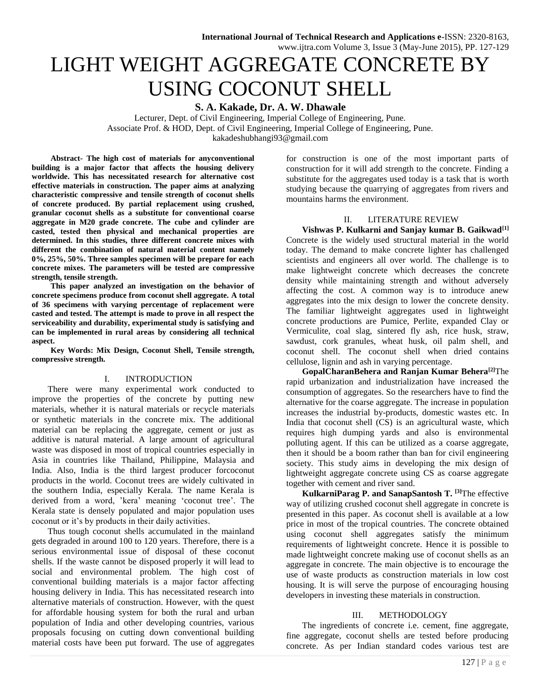# LIGHT WEIGHT AGGREGATE CONCRETE BY USING COCONUT SHELL

**S. A. Kakade, Dr. A. W. Dhawale**

Lecturer, Dept. of Civil Engineering, Imperial College of Engineering, Pune. Associate Prof. & HOD, Dept. of Civil Engineering, Imperial College of Engineering, Pune. [kakadeshubhangi93@gmail.com](mailto:kakadeshubhangi93@gmail.com)

**Abstract- The high cost of materials for anyconventional building is a major factor that affects the housing delivery worldwide. This has necessitated research for alternative cost effective materials in construction. The paper aims at analyzing characteristic compressive and tensile strength of coconut shells of concrete produced. By partial replacement using crushed, granular coconut shells as a substitute for conventional coarse aggregate in M20 grade concrete. The cube and cylinder are casted, tested then physical and mechanical properties are determined. In this studies, three different concrete mixes with different the combination of natural material content namely 0%, 25%, 50%. Three samples specimen will be prepare for each concrete mixes. The parameters will be tested are compressive strength, tensile strength.**

**This paper analyzed an investigation on the behavior of concrete specimens produce from coconut shell aggregate. A total of 36 specimens with varying percentage of replacement were casted and tested. The attempt is made to prove in all respect the serviceability and durability, experimental study is satisfying and can be implemented in rural areas by considering all technical aspect.**

**Key Words: Mix Design, Coconut Shell, Tensile strength, compressive strength.**

## I. INTRODUCTION

There were many experimental work conducted to improve the properties of the concrete by putting new materials, whether it is natural materials or recycle materials or synthetic materials in the concrete mix. The additional material can be replacing the aggregate, cement or just as additive is natural material. A large amount of agricultural waste was disposed in most of tropical countries especially in Asia in countries like Thailand, Philippine, Malaysia and India. Also, India is the third largest producer forcoconut products in the world. Coconut trees are widely cultivated in the southern India, especially Kerala. The name Kerala is derived from a word, 'kera' meaning 'coconut tree'. The Kerala state is densely populated and major population uses coconut or it's by products in their daily activities.

Thus tough coconut shells accumulated in the mainland gets degraded in around 100 to 120 years. Therefore, there is a serious environmental issue of disposal of these coconut shells. If the waste cannot be disposed properly it will lead to social and environmental problem. The high cost of conventional building materials is a major factor affecting housing delivery in India. This has necessitated research into alternative materials of construction. However, with the quest for affordable housing system for both the rural and urban population of India and other developing countries, various proposals focusing on cutting down conventional building material costs have been put forward. The use of aggregates for construction is one of the most important parts of construction for it will add strength to the concrete. Finding a substitute for the aggregates used today is a task that is worth studying because the quarrying of aggregates from rivers and mountains harms the environment.

#### II. LITERATURE REVIEW

**Vishwas P. Kulkarni and Sanjay kumar B. Gaikwad[1]** Concrete is the widely used structural material in the world today. The demand to make concrete lighter has challenged scientists and engineers all over world. The challenge is to make lightweight concrete which decreases the concrete density while maintaining strength and without adversely affecting the cost. A common way is to introduce anew aggregates into the mix design to lower the concrete density. The familiar lightweight aggregates used in lightweight concrete productions are Pumice, Perlite, expanded Clay or Vermiculite, coal slag, sintered fly ash, rice husk, straw, sawdust, cork granules, wheat husk, oil palm shell, and coconut shell. The coconut shell when dried contains cellulose, lignin and ash in varying percentage.

**GopalCharanBehera and Ranjan Kumar Behera[2]**The rapid urbanization and industrialization have increased the consumption of aggregates. So the researchers have to find the alternative for the coarse aggregate. The increase in population increases the industrial by-products, domestic wastes etc. In India that coconut shell (CS) is an agricultural waste, which requires high dumping yards and also is environmental polluting agent. If this can be utilized as a coarse aggregate, then it should be a boom rather than ban for civil engineering society. This study aims in developing the mix design of lightweight aggregate concrete using CS as coarse aggregate together with cement and river sand.

**KulkarniParag P. and SanapSantosh T. [3]**The effective way of utilizing crushed coconut shell aggregate in concrete is presented in this paper. As coconut shell is available at a low price in most of the tropical countries. The concrete obtained using coconut shell aggregates satisfy the minimum requirements of lightweight concrete. Hence it is possible to made lightweight concrete making use of coconut shells as an aggregate in concrete. The main objective is to encourage the use of waste products as construction materials in low cost housing. It is will serve the purpose of encouraging housing developers in investing these materials in construction.

### III. METHODOLOGY

The ingredients of concrete i.e. cement, fine aggregate, fine aggregate, coconut shells are tested before producing concrete. As per Indian standard codes various test are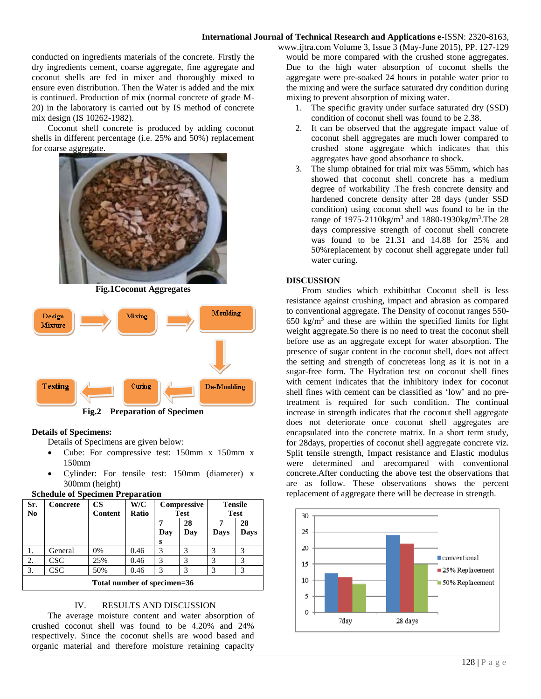conducted on ingredients materials of the concrete. Firstly the dry ingredients cement, coarse aggregate, fine aggregate and coconut shells are fed in mixer and thoroughly mixed to ensure even distribution. Then the Water is added and the mix is continued. Production of mix (normal concrete of grade M-20) in the laboratory is carried out by IS method of concrete mix design (IS 10262-1982).

Coconut shell concrete is produced by adding coconut shells in different percentage (i.e. 25% and 50%) replacement for coarse aggregate.



**Fig.1Coconut Aggregates**



**Fig.2 Preparation of Specimen**

## **Details of Specimens:**

Details of Specimens are given below:

- Cube: For compressive test: 150mm x 150mm x 150mm
- Cylinder: For tensile test: 150mm (diameter) x 300mm (height)

| Sr.<br>N <sub>0</sub>       | Concrete   | <b>CS</b><br>Content | W/C<br>Ratio | Compressive<br><b>Test</b> |               | <b>Tensile</b><br><b>Test</b> |             |
|-----------------------------|------------|----------------------|--------------|----------------------------|---------------|-------------------------------|-------------|
|                             |            |                      |              |                            | 28            |                               | 28          |
|                             |            |                      |              | Day                        | Day           | <b>Days</b>                   | <b>Days</b> |
|                             |            |                      |              | s                          |               |                               |             |
|                             | General    | 0%                   | 0.46         | 3                          | 3             |                               | 3           |
| 2.                          | <b>CSC</b> | 25%                  | 0.46         | 3                          | 3             | 3                             | 3           |
| 3.                          | <b>CSC</b> | 50%                  | 0.46         | 3                          | $\mathcal{R}$ | 3                             | 3           |
| Total number of specimen=36 |            |                      |              |                            |               |                               |             |

#### **Schedule of Specimen Preparation**

#### IV. RESULTS AND DISCUSSION

The average moisture content and water absorption of crushed coconut shell was found to be 4.20% and 24% respectively. Since the coconut shells are wood based and organic material and therefore moisture retaining capacity

www.ijtra.com Volume 3, Issue 3 (May-June 2015), PP. 127-129 would be more compared with the crushed stone aggregates. Due to the high water absorption of coconut shells the aggregate were pre-soaked 24 hours in potable water prior to the mixing and were the surface saturated dry condition during mixing to prevent absorption of mixing water.

- 1. The specific gravity under surface saturated dry (SSD) condition of coconut shell was found to be 2.38.
- 2. It can be observed that the aggregate impact value of coconut shell aggregates are much lower compared to crushed stone aggregate which indicates that this aggregates have good absorbance to shock.
- 3. The slump obtained for trial mix was 55mm, which has showed that coconut shell concrete has a medium degree of workability .The fresh concrete density and hardened concrete density after 28 days (under SSD condition) using coconut shell was found to be in the range of 1975-2110kg/m<sup>3</sup> and 1880-1930kg/m<sup>3</sup>. The 28 days compressive strength of coconut shell concrete was found to be 21.31 and 14.88 for 25% and 50%replacement by coconut shell aggregate under full water curing.

#### **DISCUSSION**

From studies which exhibitthat Coconut shell is less resistance against crushing, impact and abrasion as compared to conventional aggregate. The Density of coconut ranges 550-  $650 \text{ kg/m}^3$  and these are within the specified limits for light weight aggregate.So there is no need to treat the coconut shell before use as an aggregate except for water absorption. The presence of sugar content in the coconut shell, does not affect the setting and strength of concreteas long as it is not in a sugar-free form. The Hydration test on coconut shell fines with cement indicates that the inhibitory index for coconut shell fines with cement can be classified as 'low' and no pretreatment is required for such condition. The continual increase in strength indicates that the coconut shell aggregate does not deteriorate once coconut shell aggregates are encapsulated into the concrete matrix. In a short term study, for 28days, properties of coconut shell aggregate concrete viz. Split tensile strength, Impact resistance and Elastic modulus were determined and arecompared with conventional concrete.After conducting the above test the observations that are as follow. These observations shows the percent replacement of aggregate there will be decrease in strength.